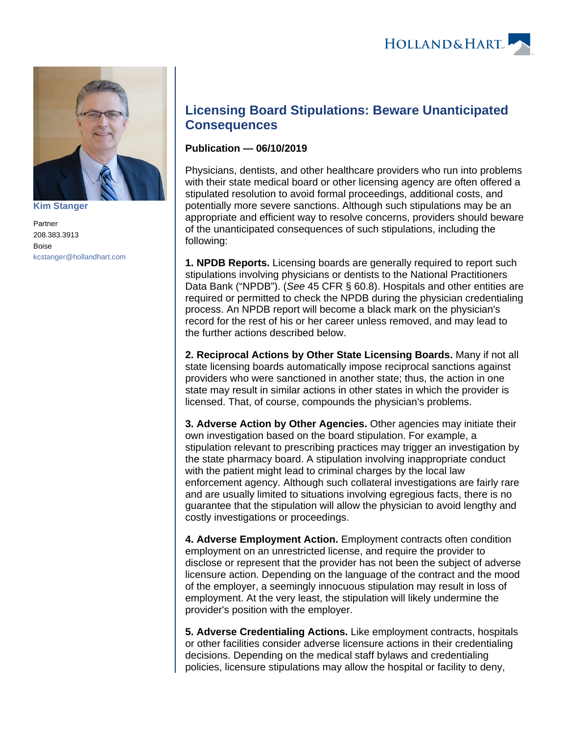

**[Kim Stanger](https://www.hollandhart.com/15954)**

Partner 208.383.3913 Boise [kcstanger@hollandhart.com](mailto:kcstanger@hollandhart.com)

## **Licensing Board Stipulations: Beware Unanticipated Consequences**

## **Publication — 06/10/2019**

Physicians, dentists, and other healthcare providers who run into problems with their state medical board or other licensing agency are often offered a stipulated resolution to avoid formal proceedings, additional costs, and potentially more severe sanctions. Although such stipulations may be an appropriate and efficient way to resolve concerns, providers should beware of the unanticipated consequences of such stipulations, including the following:

**1. NPDB Reports.** Licensing boards are generally required to report such stipulations involving physicians or dentists to the National Practitioners Data Bank ("NPDB"). (See 45 CFR § 60.8). Hospitals and other entities are required or permitted to check the NPDB during the physician credentialing process. An NPDB report will become a black mark on the physician's record for the rest of his or her career unless removed, and may lead to the further actions described below.

**2. Reciprocal Actions by Other State Licensing Boards.** Many if not all state licensing boards automatically impose reciprocal sanctions against providers who were sanctioned in another state; thus, the action in one state may result in similar actions in other states in which the provider is licensed. That, of course, compounds the physician's problems.

**3. Adverse Action by Other Agencies.** Other agencies may initiate their own investigation based on the board stipulation. For example, a stipulation relevant to prescribing practices may trigger an investigation by the state pharmacy board. A stipulation involving inappropriate conduct with the patient might lead to criminal charges by the local law enforcement agency. Although such collateral investigations are fairly rare and are usually limited to situations involving egregious facts, there is no guarantee that the stipulation will allow the physician to avoid lengthy and costly investigations or proceedings.

**4. Adverse Employment Action.** Employment contracts often condition employment on an unrestricted license, and require the provider to disclose or represent that the provider has not been the subject of adverse licensure action. Depending on the language of the contract and the mood of the employer, a seemingly innocuous stipulation may result in loss of employment. At the very least, the stipulation will likely undermine the provider's position with the employer.

**5. Adverse Credentialing Actions.** Like employment contracts, hospitals or other facilities consider adverse licensure actions in their credentialing decisions. Depending on the medical staff bylaws and credentialing policies, licensure stipulations may allow the hospital or facility to deny,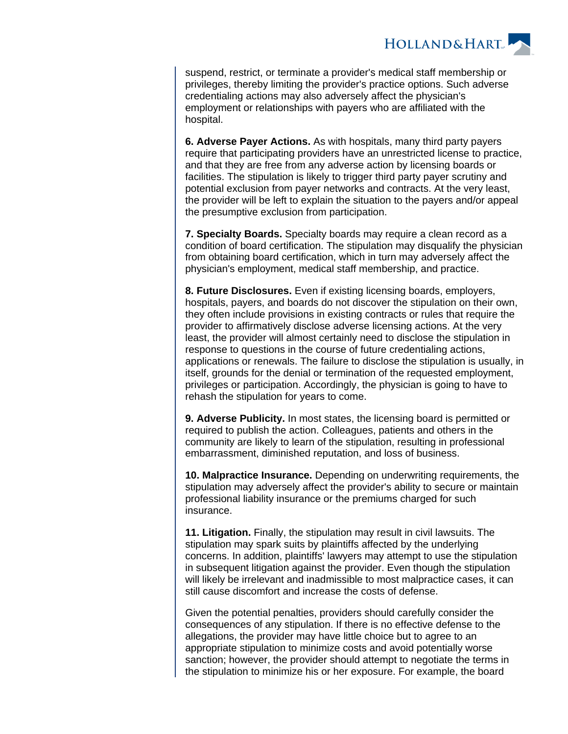

suspend, restrict, or terminate a provider's medical staff membership or privileges, thereby limiting the provider's practice options. Such adverse credentialing actions may also adversely affect the physician's employment or relationships with payers who are affiliated with the hospital.

**6. Adverse Payer Actions.** As with hospitals, many third party payers require that participating providers have an unrestricted license to practice, and that they are free from any adverse action by licensing boards or facilities. The stipulation is likely to trigger third party payer scrutiny and potential exclusion from payer networks and contracts. At the very least, the provider will be left to explain the situation to the payers and/or appeal the presumptive exclusion from participation.

**7. Specialty Boards.** Specialty boards may require a clean record as a condition of board certification. The stipulation may disqualify the physician from obtaining board certification, which in turn may adversely affect the physician's employment, medical staff membership, and practice.

**8. Future Disclosures.** Even if existing licensing boards, employers, hospitals, payers, and boards do not discover the stipulation on their own, they often include provisions in existing contracts or rules that require the provider to affirmatively disclose adverse licensing actions. At the very least, the provider will almost certainly need to disclose the stipulation in response to questions in the course of future credentialing actions, applications or renewals. The failure to disclose the stipulation is usually, in itself, grounds for the denial or termination of the requested employment, privileges or participation. Accordingly, the physician is going to have to rehash the stipulation for years to come.

**9. Adverse Publicity.** In most states, the licensing board is permitted or required to publish the action. Colleagues, patients and others in the community are likely to learn of the stipulation, resulting in professional embarrassment, diminished reputation, and loss of business.

**10. Malpractice Insurance.** Depending on underwriting requirements, the stipulation may adversely affect the provider's ability to secure or maintain professional liability insurance or the premiums charged for such insurance.

**11. Litigation.** Finally, the stipulation may result in civil lawsuits. The stipulation may spark suits by plaintiffs affected by the underlying concerns. In addition, plaintiffs' lawyers may attempt to use the stipulation in subsequent litigation against the provider. Even though the stipulation will likely be irrelevant and inadmissible to most malpractice cases, it can still cause discomfort and increase the costs of defense.

Given the potential penalties, providers should carefully consider the consequences of any stipulation. If there is no effective defense to the allegations, the provider may have little choice but to agree to an appropriate stipulation to minimize costs and avoid potentially worse sanction; however, the provider should attempt to negotiate the terms in the stipulation to minimize his or her exposure. For example, the board